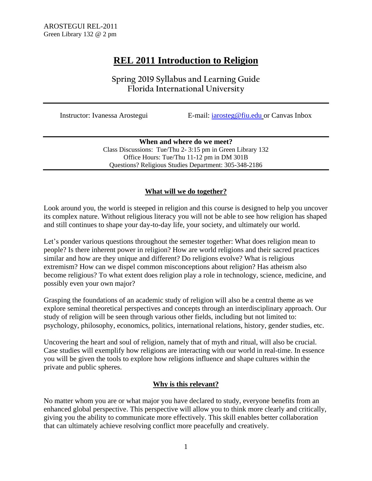# **REL 2011 Introduction to Religion**

**Spring 2019 Syllabus and Learning Guide Florida International University** 

Instructor: Ivanessa Arostegui E-mail: [iarosteg@fiu.edu](mailto:iarosteg@fiu.edu) or Canvas Inbox

**When and where do we meet?** Class Discussions: Tue/Thu 2- 3:15 pm in Green Library 132 Office Hours: Tue/Thu 11-12 pm in DM 301B Questions? Religious Studies Department: 305-348-2186

## **What will we do together?**

Look around you, the world is steeped in religion and this course is designed to help you uncover its complex nature. Without religious literacy you will not be able to see how religion has shaped and still continues to shape your day-to-day life, your society, and ultimately our world.

Let's ponder various questions throughout the semester together: What does religion mean to people? Is there inherent power in religion? How are world religions and their sacred practices similar and how are they unique and different? Do religions evolve? What is religious extremism? How can we dispel common misconceptions about religion? Has atheism also become religious? To what extent does religion play a role in technology, science, medicine, and possibly even your own major?

Grasping the foundations of an academic study of religion will also be a central theme as we explore seminal theoretical perspectives and concepts through an interdisciplinary approach. Our study of religion will be seen through various other fields, including but not limited to: psychology, philosophy, economics, politics, international relations, history, gender studies, etc.

Uncovering the heart and soul of religion, namely that of myth and ritual, will also be crucial. Case studies will exemplify how religions are interacting with our world in real-time. In essence you will be given the tools to explore how religions influence and shape cultures within the private and public spheres.

## **Why is this relevant?**

No matter whom you are or what major you have declared to study, everyone benefits from an enhanced global perspective. This perspective will allow you to think more clearly and critically, giving you the ability to communicate more effectively. This skill enables better collaboration that can ultimately achieve resolving conflict more peacefully and creatively.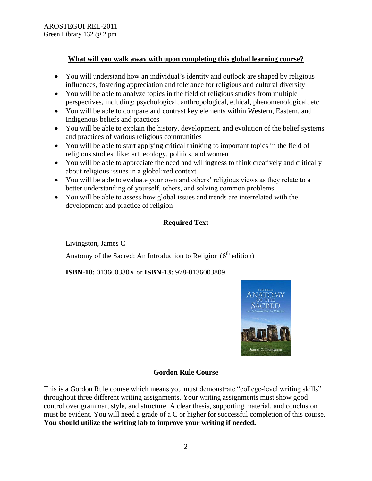## **What will you walk away with upon completing this global learning course?**

- You will understand how an individual's identity and outlook are shaped by religious influences, fostering appreciation and tolerance for religious and cultural diversity
- You will be able to analyze topics in the field of religious studies from multiple perspectives, including: psychological, anthropological, ethical, phenomenological, etc.
- You will be able to compare and contrast key elements within Western, Eastern, and Indigenous beliefs and practices
- You will be able to explain the history, development, and evolution of the belief systems and practices of various religious communities
- You will be able to start applying critical thinking to important topics in the field of religious studies, like: art, ecology, politics, and women
- You will be able to appreciate the need and willingness to think creatively and critically about religious issues in a globalized context
- You will be able to evaluate your own and others' religious views as they relate to a better understanding of yourself, others, and solving common problems
- You will be able to assess how global issues and trends are interrelated with the development and practice of religion

## **Required Text**

Livingston, James C

Anatomy of the Sacred: An Introduction to Religion  $(6<sup>th</sup>$  edition)

**ISBN-10:** 013600380X or **ISBN-13:** 978-0136003809



## **Gordon Rule Course**

This is a Gordon Rule course which means you must demonstrate "college-level writing skills" throughout three different writing assignments. Your writing assignments must show good control over grammar, style, and structure. A clear thesis, supporting material, and conclusion must be evident. You will need a grade of a C or higher for successful completion of this course. **You should utilize the writing lab to improve your writing if needed.**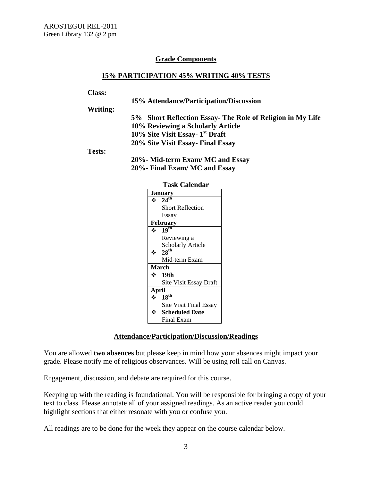## **Grade Components**

## **15% PARTICIPATION 45% WRITING 40% TESTS**

#### **Class:**

|               | 15% Attendance/Participation/Discussion                    |  |  |  |  |  |
|---------------|------------------------------------------------------------|--|--|--|--|--|
| Writing:      |                                                            |  |  |  |  |  |
|               | 5% Short Reflection Essay- The Role of Religion in My Life |  |  |  |  |  |
|               | 10% Reviewing a Scholarly Article                          |  |  |  |  |  |
|               | 10% Site Visit Essay- 1 <sup>st</sup> Draft                |  |  |  |  |  |
|               | 20% Site Visit Essay - Final Essay                         |  |  |  |  |  |
| <b>Tests:</b> |                                                            |  |  |  |  |  |
|               | 20% Mid-term Exam/ MC and Essay                            |  |  |  |  |  |
|               | 20%- Final Exam/ MC and Essay                              |  |  |  |  |  |
|               |                                                            |  |  |  |  |  |

| <b>Task Calendar</b> |                               |  |  |  |  |  |
|----------------------|-------------------------------|--|--|--|--|--|
| January              |                               |  |  |  |  |  |
|                      | $\cdot \cdot 24^{\text{th}}$  |  |  |  |  |  |
|                      | <b>Short Reflection</b>       |  |  |  |  |  |
|                      | Essay                         |  |  |  |  |  |
| <b>February</b>      |                               |  |  |  |  |  |
| $\mathbf{A}$         | 19 <sup>th</sup>              |  |  |  |  |  |
|                      | Reviewing a                   |  |  |  |  |  |
|                      | <b>Scholarly Article</b>      |  |  |  |  |  |
|                      | 28 <sup>th</sup>              |  |  |  |  |  |
|                      | Mid-term Exam                 |  |  |  |  |  |
| March                |                               |  |  |  |  |  |
| ż.                   | 19th                          |  |  |  |  |  |
|                      | <b>Site Visit Essay Draft</b> |  |  |  |  |  |
| April                |                               |  |  |  |  |  |
|                      | 18 <sup>th</sup>              |  |  |  |  |  |
|                      | <b>Site Visit Final Essay</b> |  |  |  |  |  |
|                      | <b>Scheduled Date</b>         |  |  |  |  |  |
|                      | Final Exam                    |  |  |  |  |  |

### **Attendance/Participation/Discussion/Readings**

You are allowed **two absences** but please keep in mind how your absences might impact your grade. Please notify me of religious observances. Will be using roll call on Canvas.

Engagement, discussion, and debate are required for this course.

Keeping up with the reading is foundational. You will be responsible for bringing a copy of your text to class. Please annotate all of your assigned readings. As an active reader you could highlight sections that either resonate with you or confuse you.

All readings are to be done for the week they appear on the course calendar below.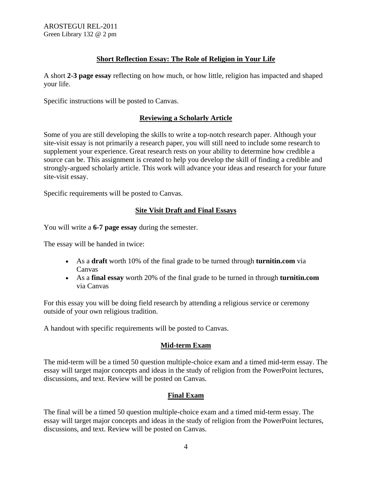## **Short Reflection Essay: The Role of Religion in Your Life**

A short **2-3 page essay** reflecting on how much, or how little, religion has impacted and shaped your life.

Specific instructions will be posted to Canvas.

## **Reviewing a Scholarly Article**

Some of you are still developing the skills to write a top-notch research paper. Although your site-visit essay is not primarily a research paper, you will still need to include some research to supplement your experience. Great research rests on your ability to determine how credible a source can be. This assignment is created to help you develop the skill of finding a credible and strongly-argued scholarly article. This work will advance your ideas and research for your future site-visit essay.

Specific requirements will be posted to Canvas.

## **Site Visit Draft and Final Essays**

You will write a **6-7 page essay** during the semester.

The essay will be handed in twice:

- As a **draft** worth 10% of the final grade to be turned through **turnitin.com** via Canvas
- As a **final essay** worth 20% of the final grade to be turned in through **turnitin.com** via Canvas

For this essay you will be doing field research by attending a religious service or ceremony outside of your own religious tradition.

A handout with specific requirements will be posted to Canvas.

## **Mid-term Exam**

The mid-term will be a timed 50 question multiple-choice exam and a timed mid-term essay. The essay will target major concepts and ideas in the study of religion from the PowerPoint lectures, discussions, and text. Review will be posted on Canvas.

## **Final Exam**

The final will be a timed 50 question multiple-choice exam and a timed mid-term essay. The essay will target major concepts and ideas in the study of religion from the PowerPoint lectures, discussions, and text. Review will be posted on Canvas.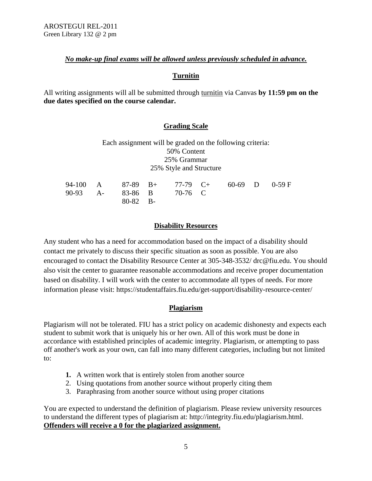## *No make-up final exams will be allowed unless previously scheduled in advance.*

## **Turnitin**

All writing assignments will all be submitted through [turnitin](http://www.turnitin.com/) via Canvas **by 11:59 pm on the due dates specified on the course calendar.** 

## **Grading Scale**

| Each assignment will be graded on the following criteria: |  |  |  |  |  |  |  |
|-----------------------------------------------------------|--|--|--|--|--|--|--|
| 50% Content                                               |  |  |  |  |  |  |  |
| 25% Grammar                                               |  |  |  |  |  |  |  |
| 25% Style and Structure                                   |  |  |  |  |  |  |  |

|  |            |                          | 94-100 A 87-89 B+ 77-79 C+ 60-69 D 0-59 F |  |
|--|------------|--------------------------|-------------------------------------------|--|
|  |            | 90-93 A- 83-86 B 70-76 C |                                           |  |
|  | $80-82$ B- |                          |                                           |  |

## **Disability Resources**

Any student who has a need for accommodation based on the impact of a disability should contact me privately to discuss their specific situation as soon as possible. You are also encouraged to contact the Disability Resource Center at 305-348-3532/ drc@fiu.edu. You should also visit the center to guarantee reasonable accommodations and receive proper documentation based on disability. I will work with the center to accommodate all types of needs. For more information please visit: https://studentaffairs.fiu.edu/get-support/disability-resource-center/

## **Plagiarism**

Plagiarism will not be tolerated. FIU has a strict policy on academic dishonesty and expects each student to submit work that is uniquely his or her own. All of this work must be done in accordance with established principles of academic integrity. Plagiarism, or attempting to pass off another's work as your own, can fall into many different categories, including but not limited to:

- **1.** A written work that is entirely stolen from another source
- 2. Using quotations from another source without properly citing them
- 3. Paraphrasing from another source without using proper citations

You are expected to understand the definition of plagiarism. Please review university resources to understand the different types of plagiarism at: http://integrity.fiu.edu/plagiarism.html. **Offenders will receive a 0 for the plagiarized assignment.**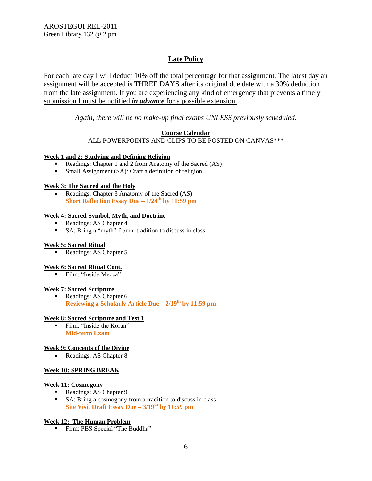## **Late Policy**

For each late day I will deduct 10% off the total percentage for that assignment. The latest day an assignment will be accepted is THREE DAYS after its original due date with a 30% deduction from the late assignment. If you are experiencing any kind of emergency that prevents a timely submission I must be notified *in advance* for a possible extension.

## *Again, there will be no make-up final exams UNLESS previously scheduled.*

### **Course Calendar**

ALL POWERPOINTS AND CLIPS TO BE POSTED ON CANVAS\*\*\*

### **Week 1 and 2: Studying and Defining Religion**

- Readings: Chapter 1 and 2 from Anatomy of the Sacred (AS)
- Small Assignment (SA): Craft a definition of religion

### **Week 3: The Sacred and the Holy**

• Readings: Chapter 3 Anatomy of the Sacred (AS) **Short Reflection Essay Due – 1/24th by 11:59 pm** 

## **Week 4: Sacred Symbol, Myth, and Doctrine**

- Readings: AS Chapter 4
- SA: Bring a "myth" from a tradition to discuss in class

### **Week 5: Sacred Ritual**

Readings: AS Chapter 5

### **Week 6: Sacred Ritual Cont.**

Film: "Inside Mecca"

#### **Week 7: Sacred Scripture**

Readings: AS Chapter 6 **Reviewing a Scholarly Article Due – 2/19th by 11:59 pm** 

### **Week 8: Sacred Scripture and Test 1**

 Film: "Inside the Koran" **Mid-term Exam**

### **Week 9: Concepts of the Divine**

• Readings: AS Chapter 8

### **Week 10: SPRING BREAK**

#### **Week 11: Cosmogony**

- Readings: AS Chapter 9
- SA: Bring a cosmogony from a tradition to discuss in class **Site Visit Draft Essay Due – 3/19th by 11:59 pm**

### **Week 12: The Human Problem**

Film: PBS Special "The Buddha"